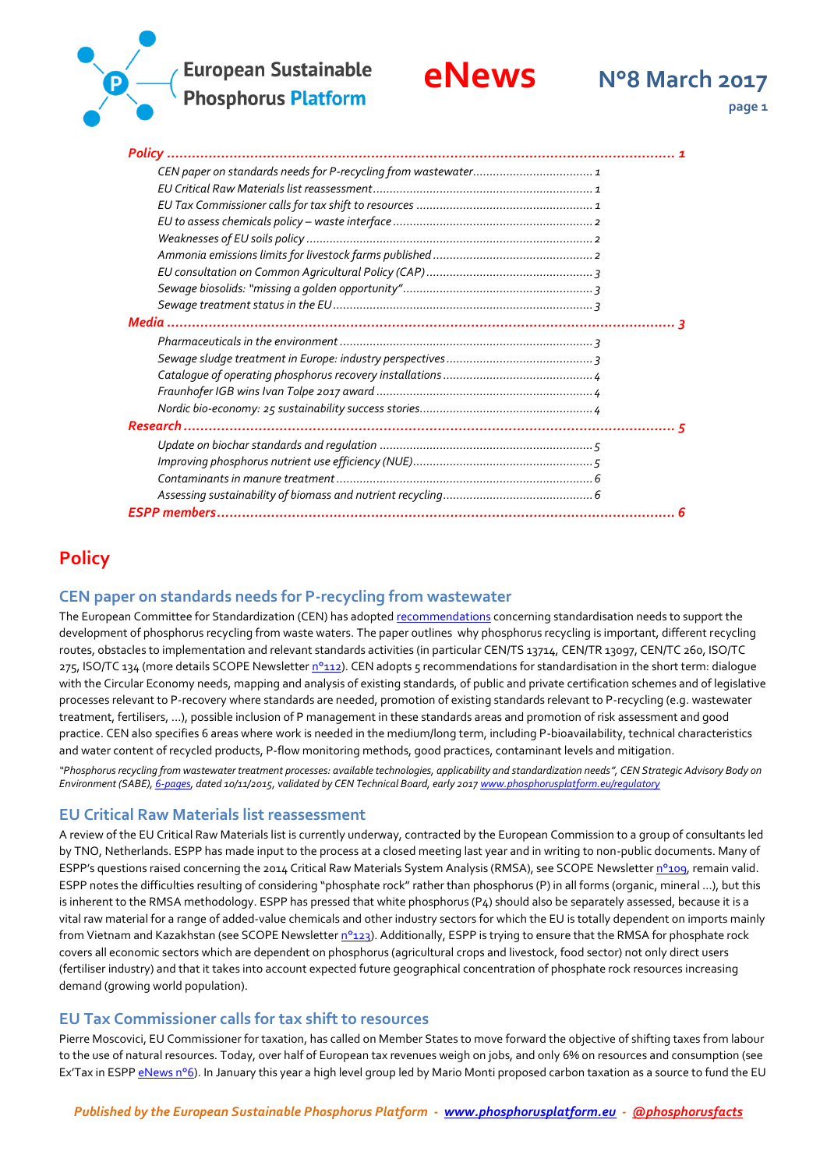# **European Sustainable**



**Phosphorus Platform** 

**page 1**

| <b>Policy</b>       |
|---------------------|
|                     |
|                     |
|                     |
|                     |
|                     |
|                     |
|                     |
|                     |
|                     |
|                     |
|                     |
|                     |
|                     |
|                     |
|                     |
|                     |
|                     |
|                     |
|                     |
|                     |
| <b>ESPP</b> members |

# <span id="page-0-0"></span>**Policy**

### <span id="page-0-1"></span>**CEN paper on standards needs for P-recycling from wastewater**

The European Committee for Standardization (CEN) has adopte[d recommendations](http://phosphorusplatform.eu/images/download/SABE-ENV-N-315-position-paper-P-recovery-and-recycling-Final-clean.pdf) concerning standardisation needs to support the development of phosphorus recycling from waste waters. The paper outlines why phosphorus recycling is important, different recycling routes, obstacles to implementation and relevant standards activities (in particular CEN/TS 13714, CEN/TR 13097, CEN/TC 260, ISO/TC 275, ISO/TC 134 (more details SCOPE Newslette[r n°112\)](http://www.phosphorusplatform.eu/scope112). CEN adopts 5 recommendations for standardisation in the short term: dialogue with the Circular Economy needs, mapping and analysis of existing standards, of public and private certification schemes and of legislative processes relevant to P-recovery where standards are needed, promotion of existing standards relevant to P-recycling (e.g. wastewater treatment, fertilisers, …), possible inclusion of P management in these standards areas and promotion of risk assessment and good practice. CEN also specifies 6 areas where work is needed in the medium/long term, including P-bioavailability, technical characteristics and water content of recycled products, P-flow monitoring methods, good practices, contaminant levels and mitigation.

*"Phosphorus recycling from wastewater treatment processes: available technologies, applicability and standardization needs", CEN Strategic Advisory Body on Environment (SABE)[, 6-pages,](http://phosphorusplatform.eu/images/download/SABE-ENV-N-315-position-paper-P-recovery-and-recycling-Final-clean.pdf) dated 10/11/2015, validated by CEN Technical Board, early 201[7 www.phosphorusplatform.eu/regulatory](http://www.phosphorusplatform.eu/regulatory)*

### <span id="page-0-2"></span>**EU Critical Raw Materials list reassessment**

A review of the EU Critical Raw Materials list is currently underway, contracted by the European Commission to a group of consultants led by TNO, Netherlands. ESPP has made input to the process at a closed meeting last year and in writing to non-public documents. Many of ESPP's questions raised concerning the 2014 Critical Raw Materials System Analysis (RMSA), see SCOPE Newslette[r n°109,](http://www.phosphorusplatform.eu/scope109) remain valid. ESPP notes the difficulties resulting of considering "phosphate rock" rather than phosphorus (P) in all forms (organic, mineral …), but this is inherent to the RMSA methodology. ESPP has pressed that white phosphorus (P4) should also be separately assessed, because it is a vital raw material for a range of added-value chemicals and other industry sectors for which the EU is totally dependent on imports mainly from Vietnam and Kazakhstan (see SCOPE Newsletter nº123). Additionally, ESPP is trying to ensure that the RMSA for phosphate rock covers all economic sectors which are dependent on phosphorus (agricultural crops and livestock, food sector) not only direct users (fertiliser industry) and that it takes into account expected future geographical concentration of phosphate rock resources increasing demand (growing world population).

#### <span id="page-0-3"></span>**EU Tax Commissioner calls for tax shift to resources**

Pierre Moscovici, EU Commissioner for taxation, has called on Member States to move forward the objective of shifting taxes from labour to the use of natural resources. Today, over half of European tax revenues weigh on jobs, and only 6% on resources and consumption (see Ex'Tax in ESPP [eNews n°6\)](http://www.phosphorusplatform.eu/eNews6). In January this year a high level group led by Mario Monti proposed carbon taxation as a source to fund the EU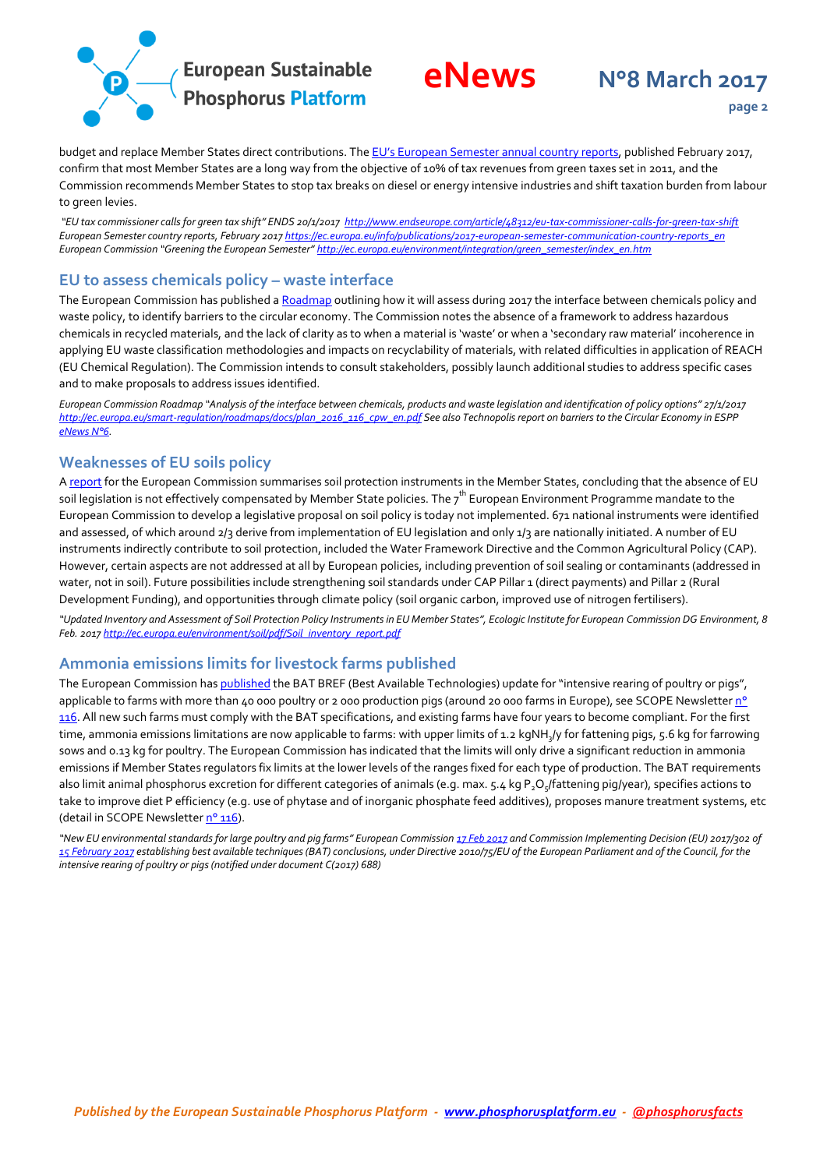

budget and replace Member States direct contributions. The [EU's European Semester annual country reports](https://ec.europa.eu/info/publications/2017-european-semester-communication-country-reports_en), published February 2017, confirm that most Member States are a long way from the objective of 10% of tax revenues from green taxes set in 2011, and the Commission recommends Member States to stop tax breaks on diesel or energy intensive industries and shift taxation burden from labour to green levies.

*"EU tax commissioner calls for green tax shift" ENDS 20/1/2017 <http://www.endseurope.com/article/48312/eu-tax-commissioner-calls-for-green-tax-shift> European Semester country reports, February 201[7 https://ec.europa.eu/info/publications/2017-european-semester-communication-country-reports\\_en](https://ec.europa.eu/info/publications/2017-european-semester-communication-country-reports_en) European Commission "Greening the European Semester" [http://ec.europa.eu/environment/integration/green\\_semester/index\\_en.htm](http://ec.europa.eu/environment/integration/green_semester/index_en.htm)*

#### <span id="page-1-0"></span>**EU to assess chemicals policy – waste interface**

The European Commission has published [a Roadmap](http://ec.europa.eu/smart-regulation/roadmaps/docs/plan_2016_116_cpw_en.pdf) outlining how it will assess during 2017 the interface between chemicals policy and waste policy, to identify barriers to the circular economy. The Commission notes the absence of a framework to address hazardous chemicals in recycled materials, and the lack of clarity as to when a material is 'waste' or when a 'secondary raw material' incoherence in applying EU waste classification methodologies and impacts on recyclability of materials, with related difficulties in application of REACH (EU Chemical Regulation). The Commission intends to consult stakeholders, possibly launch additional studies to address specific cases and to make proposals to address issues identified.

*European Commission Roadmap "Analysis of the interface between chemicals, products and waste legislation and identification of policy options" 27/1/2017 [http://ec.europa.eu/smart-regulation/roadmaps/docs/plan\\_2016\\_116\\_cpw\\_en.pdf](http://ec.europa.eu/smart-regulation/roadmaps/docs/plan_2016_116_cpw_en.pdf) See also Technopolis report on barriers to the Circular Economy in ESPP [eNews N°6.](http://www.phosphorusplatform.eu/eNews6)*

#### <span id="page-1-1"></span>**Weaknesses of EU soils policy**

[A report](http://ec.europa.eu/environment/soil/pdf/Soil_inventory_report.pdf) for the European Commission summarises soil protection instruments in the Member States, concluding that the absence of EU soil legislation is not effectively compensated by Member State policies. The 7<sup>th</sup> European Environment Programme mandate to the European Commission to develop a legislative proposal on soil policy is today not implemented. 671 national instruments were identified and assessed, of which around 2/3 derive from implementation of EU legislation and only 1/3 are nationally initiated. A number of EU instruments indirectly contribute to soil protection, included the Water Framework Directive and the Common Agricultural Policy (CAP). However, certain aspects are not addressed at all by European policies, including prevention of soil sealing or contaminants (addressed in water, not in soil). Future possibilities include strengthening soil standards under CAP Pillar 1 (direct payments) and Pillar 2 (Rural Development Funding), and opportunities through climate policy (soil organic carbon, improved use of nitrogen fertilisers).

*"Updated Inventory and Assessment of Soil Protection Policy Instruments in EU Member States", Ecologic Institute for European Commission DG Environment, 8 Feb. 201[7 http://ec.europa.eu/environment/soil/pdf/Soil\\_inventory\\_report.pdf](http://ec.europa.eu/environment/soil/pdf/Soil_inventory_report.pdf)*

#### <span id="page-1-2"></span>**Ammonia emissions limits for livestock farms published**

The European Commission ha[s published](https://ec.europa.eu/jrc/en/news/new-eu-environmental-standards-large-poultry-and-pig-farms) the BAT BREF (Best Available Technologies) update for "intensive rearing of poultry or pigs", applicable to farms with more than 40 000 poultry or 2 000 production pigs (around 20 000 farms in Europe), see SCOPE Newsletter  $n^{\circ}$ [116.](http://www.phosphorusplatform.eu/images/scope/ScopeNewsletter%20116.pdf) All new such farms must comply with the BAT specifications, and existing farms have four years to become compliant. For the first time, ammonia emissions limitations are now applicable to farms: with upper limits of 1.2 kgNH<sub>3</sub>/y for fattening pigs, 5.6 kg for farrowing sows and 0.13 kg for poultry. The European Commission has indicated that the limits will only drive a significant reduction in ammonia emissions if Member States regulators fix limits at the lower levels of the ranges fixed for each type of production. The BAT requirements also limit animal phosphorus excretion for different categories of animals (e.g. max. 5.4 kg P<sub>2</sub>O<sub>5</sub>/fattening pig/year), specifies actions to take to improve diet P efficiency (e.g. use of phytase and of inorganic phosphate feed additives), proposes manure treatment systems, etc (detail in SCOPE Newsletter nº 116).

*"New EU environmental standards for large poultry and pig farms" European Commission [17 Feb 2017](https://ec.europa.eu/jrc/en/news/new-eu-environmental-standards-large-poultry-and-pig-farms) and Commission Implementing Decision (EU) 2017/302 of [15 February 2017](http://eur-lex.europa.eu/legal-content/EN/TXT/?uri=uriserv:OJ.L_.2017.043.01.0231.01.ENG&) establishing best available techniques (BAT) conclusions, under Directive 2010/75/EU of the European Parliament and of the Council, for the intensive rearing of poultry or pigs (notified under document C(2017) 688)*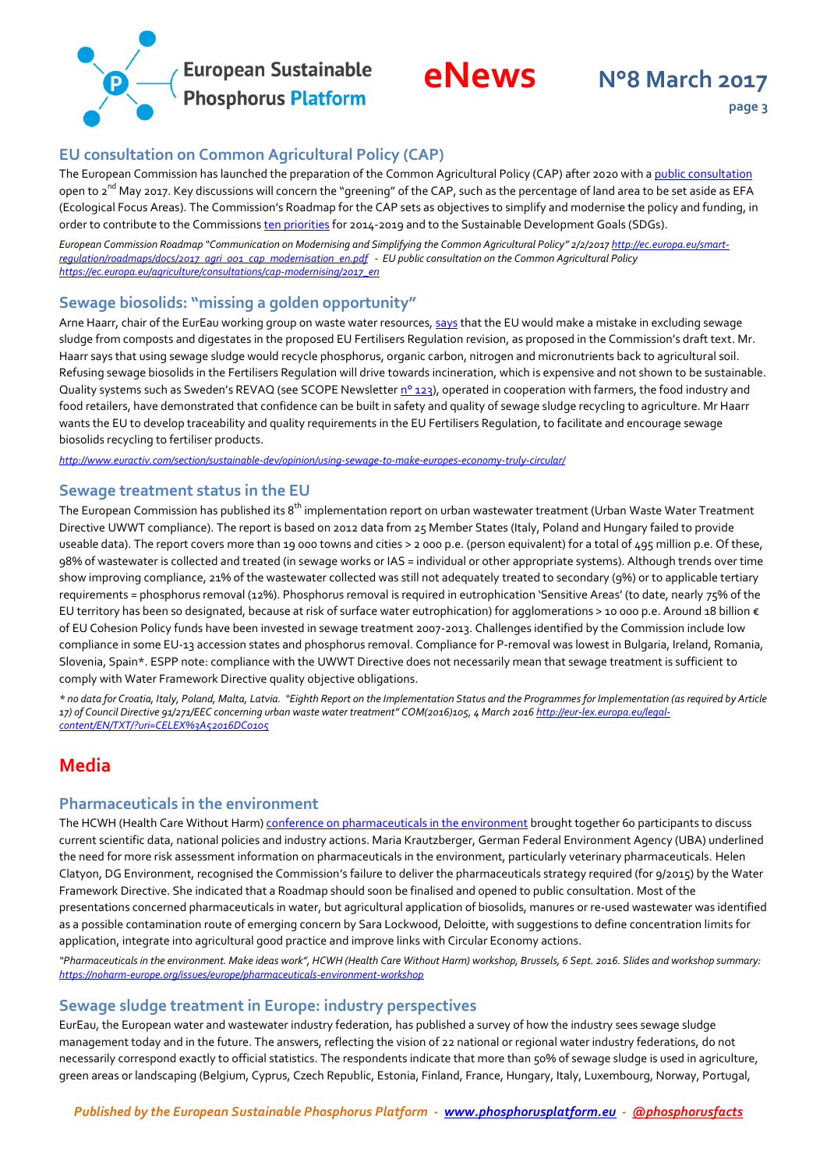

# <span id="page-2-0"></span>**EU consultation on Common Agricultural Policy (CAP)**

The European Commission has launched the preparation of the Common Agricultural Policy (CAP) after 2020 with [a public consultation](https://ec.europa.eu/agriculture/consultations/cap-modernising/2017_en) open to 2<sup>nd</sup> May 2017. Key discussions will concern the "greening" of the CAP, such as the percentage of land area to be set aside as EFA (Ecological Focus Areas). The Commission's Roadmap for the CAP sets as objectives to simplify and modernise the policy and funding, in order to contribute to the Commission[s ten priorities](https://ec.europa.eu/commission/priorities_en) for 2014-2019 and to the Sustainable Development Goals (SDGs).

*European Commission Roadmap "Communication on Modernising and Simplifying the Common Agricultural Policy" 2/2/2017 [http://ec.europa.eu/smart](http://ec.europa.eu/smart-regulation/roadmaps/docs/2017_agri_001_cap_modernisation_en.pdf)[regulation/roadmaps/docs/2017\\_agri\\_001\\_cap\\_modernisation\\_en.pdf](http://ec.europa.eu/smart-regulation/roadmaps/docs/2017_agri_001_cap_modernisation_en.pdf) - EU public consultation on the Common Agricultural Policy [https://ec.europa.eu/agriculture/consultations/cap-modernising/2017\\_en](https://ec.europa.eu/agriculture/consultations/cap-modernising/2017_en)*

### <span id="page-2-1"></span>**Sewage biosolids: "missing a golden opportunity"**

Arne Haarr, chair of the EurEau working group on waste water resources[, says](http://www.euractiv.com/section/sustainable-dev/opinion/using-sewage-to-make-europes-economy-truly-circular/) that the EU would make a mistake in excluding sewage sludge from composts and digestates in the proposed EU Fertilisers Regulation revision, as proposed in the Commission's draft text. Mr. Haarr says that using sewage sludge would recycle phosphorus, organic carbon, nitrogen and micronutrients back to agricultural soil. Refusing sewage biosolids in the Fertilisers Regulation will drive towards incineration, which is expensive and not shown to be sustainable. Quality systems such as Sweden's REVAQ (see SCOPE Newsletter [n° 123\)](http://www.phosphorusplatform.eu/scope123), operated in cooperation with farmers, the food industry and food retailers, have demonstrated that confidence can be built in safety and quality of sewage sludge recycling to agriculture. Mr Haarr wants the EU to develop traceability and quality requirements in the EU Fertilisers Regulation, to facilitate and encourage sewage biosolids recycling to fertiliser products.

<span id="page-2-2"></span>*<http://www.euractiv.com/section/sustainable-dev/opinion/using-sewage-to-make-europes-economy-truly-circular/>*

### **Sewage treatment status in the EU**

The European Commission has published its 8<sup>th</sup> implementation report on urban wastewater treatment (Urban Waste Water Treatment Directive UWWT compliance). The report is based on 2012 data from 25 Member States (Italy, Poland and Hungary failed to provide useable data). The report covers more than 19 000 towns and cities > 2 000 p.e. (person equivalent) for a total of 495 million p.e. Of these, 98% of wastewater is collected and treated (in sewage works or IAS = individual or other appropriate systems). Although trends over time show improving compliance, 21% of the wastewater collected was still not adequately treated to secondary (9%) or to applicable tertiary requirements = phosphorus removal (12%). Phosphorus removal is required in eutrophication 'Sensitive Areas' (to date, nearly 75% of the EU territory has been so designated, because at risk of surface water eutrophication) for agglomerations > 10 000 p.e. Around 18 billion  $\epsilon$ of EU Cohesion Policy funds have been invested in sewage treatment 2007-2013. Challenges identified by the Commission include low compliance in some EU-13 accession states and phosphorus removal. Compliance for P-removal was lowest in Bulgaria, Ireland, Romania, Slovenia, Spain\*. ESPP note: compliance with the UWWT Directive does not necessarily mean that sewage treatment is sufficient to comply with Water Framework Directive quality objective obligations.

*\* no data for Croatia, Italy, Poland, Malta, Latvia. "Eighth Report on the Implementation Status and the Programmes for Implementation (as required by Article 17) of Council Directive 91/271/EEC concerning urban waste water treatment" COM(2016)105, 4 March 201[6 http://eur-lex.europa.eu/legal](http://eur-lex.europa.eu/legal-content/EN/TXT/?uri=CELEX%3A52016DC0105)[content/EN/TXT/?uri=CELEX%3A52016DC0105](http://eur-lex.europa.eu/legal-content/EN/TXT/?uri=CELEX%3A52016DC0105)*

# <span id="page-2-3"></span>**Media**

### <span id="page-2-4"></span>**Pharmaceuticals in the environment**

The HCWH (Health Care Without Harm[\) conference on pharmaceuticals in the environment](https://noharm-europe.org/issues/europe/pharmaceuticals-environment-workshop) brought together 60 participants to discuss current scientific data, national policies and industry actions. Maria Krautzberger, German Federal Environment Agency (UBA) underlined the need for more risk assessment information on pharmaceuticals in the environment, particularly veterinary pharmaceuticals. Helen Clatyon, DG Environment, recognised the Commission's failure to deliver the pharmaceuticals strategy required (for 9/2015) by the Water Framework Directive. She indicated that a Roadmap should soon be finalised and opened to public consultation. Most of the presentations concerned pharmaceuticals in water, but agricultural application of biosolids, manures or re-used wastewater was identified as a possible contamination route of emerging concern by Sara Lockwood, Deloitte, with suggestions to define concentration limits for application, integrate into agricultural good practice and improve links with Circular Economy actions.

*"Pharmaceuticals in the environment. Make ideas work", HCWH (Health Care Without Harm) workshop, Brussels, 6 Sept. 2016. Slides and workshop summary: <https://noharm-europe.org/issues/europe/pharmaceuticals-environment-workshop>*

#### <span id="page-2-5"></span>**Sewage sludge treatment in Europe: industry perspectives**

EurEau, the European water and wastewater industry federation, has published a survey of how the industry sees sewage sludge management today and in the future. The answers, reflecting the vision of 22 national or regional water industry federations, do not necessarily correspond exactly to official statistics. The respondents indicate that more than 50% of sewage sludge is used in agriculture, green areas or landscaping (Belgium, Cyprus, Czech Republic, Estonia, Finland, France, Hungary, Italy, Luxembourg, Norway, Portugal,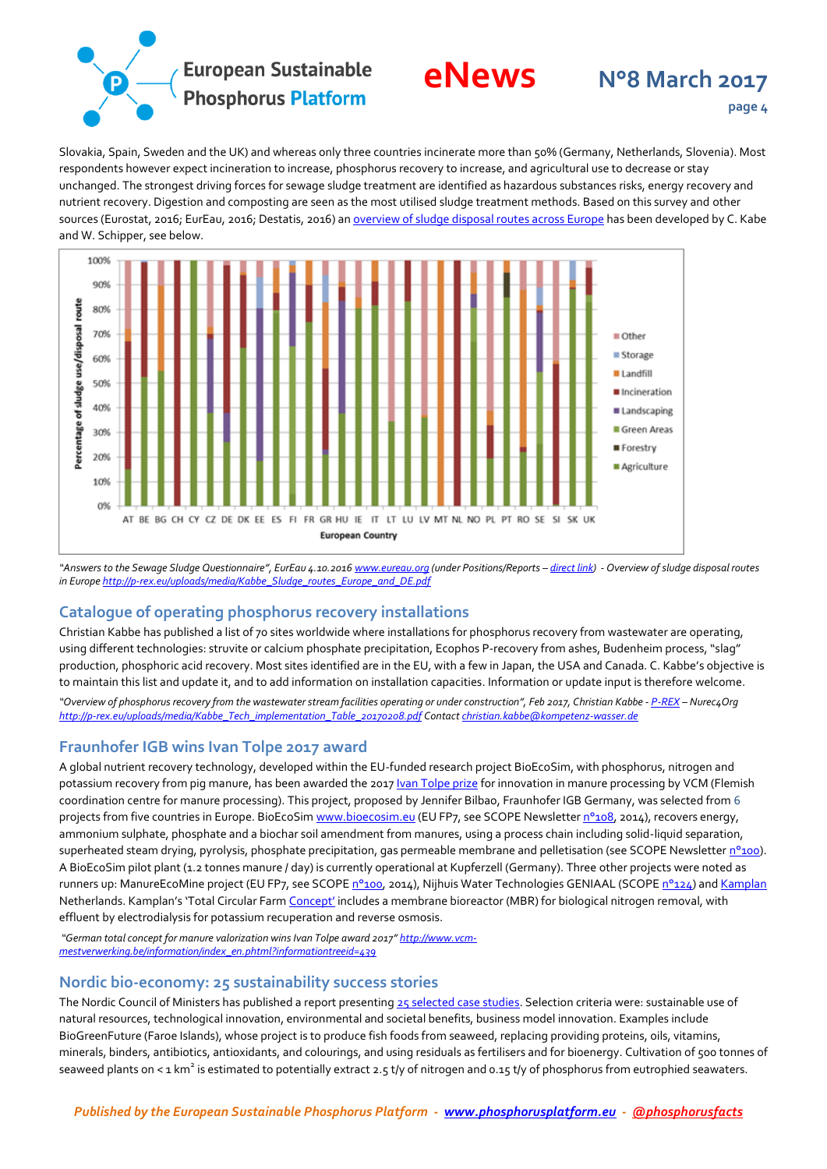

Slovakia, Spain, Sweden and the UK) and whereas only three countries incinerate more than 50% (Germany, Netherlands, Slovenia). Most respondents however expect incineration to increase, phosphorus recovery to increase, and agricultural use to decrease or stay unchanged. The strongest driving forces for sewage sludge treatment are identified as hazardous substances risks, energy recovery and nutrient recovery. Digestion and composting are seen as the most utilised sludge treatment methods. Based on this survey and other sources (Eurostat, 2016; EurEau, 2016; Destatis, 2016) a[n overview of sludge disposal routes across Europe](http://p-rex.eu/uploads/media/Kabbe_Sludge_routes_Europe_and_DE.pdf) has been developed by C. Kabe and W. Schipper, see below.



*"Answers to the Sewage Sludge Questionnaire", EurEau 4.10.2016 [www.eureau.org](http://www.eureau.org/) (under Positions/Reports – [direct link\)](http://www.eureau.org/administrator/components/com_europublication/pdf/b01571946428227e09961a208c160bb3-Sewage-Sludge-Situation-and-Trends-2016-short.pdf) - Overview of sludge disposal routes in Europ[e http://p-rex.eu/uploads/media/Kabbe\\_Sludge\\_routes\\_Europe\\_and\\_DE.pdf](http://p-rex.eu/uploads/media/Kabbe_Sludge_routes_Europe_and_DE.pdf)*

#### <span id="page-3-0"></span>**Catalogue of operating phosphorus recovery installations**

Christian Kabbe has published a list of 70 sites worldwide where installations for phosphorus recovery from wastewater are operating, using different technologies: struvite or calcium phosphate precipitation, Ecophos P-recovery from ashes, Budenheim process, "slag" production, phosphoric acid recovery. Most sites identified are in the EU, with a few in Japan, the USA and Canada. C. Kabbe's objective is to maintain this list and update it, and to add information on installation capacities. Information or update input is therefore welcome. *"Overview of phosphorus recovery from the wastewater stream facilities operating or under construction", Feb 2017, Christian Kabbe - [P-REX](http://p-rex.eu/) – Nurec4Org [http://p-rex.eu/uploads/media/Kabbe\\_Tech\\_implementation\\_Table\\_20170208.pdf](http://p-rex.eu/uploads/media/Kabbe_Tech_implementation_Table_20170208.pdf) Contac[t christian.kabbe@kompetenz-wasser.de](mailto:christian.kabbe@kompetenz-wasser.de)*

### <span id="page-3-1"></span>**Fraunhofer IGB wins Ivan Tolpe 2017 award**

A global nutrient recovery technology, developed within the EU-funded research project BioEcoSim, with phosphorus, nitrogen and potassium recovery from pig manure, has been awarded the 201[7 Ivan Tolpe prize](http://www.vcm-mestverwerking.be/information/index_en.phtml?informationtreeid=439) for innovation in manure processing by VCM (Flemish coordination centre for manure processing). This project, proposed by Jennifer Bilbao, Fraunhofer IGB Germany, was selected from 6 projects from five countries in Europe. BioEcoSi[m www.bioecosim.eu](http://www.bioecosim.eu/) (EU FP7, see SCOPE Newslette[r n°108,](http://www.phosphorusplatform.eu/scope108) 2014), recovers energy, ammonium sulphate, phosphate and a biochar soil amendment from manures, using a process chain including solid-liquid separation, superheated steam drying, pyrolysis, phosphate precipitation, gas permeable membrane and pelletisation (see SCOPE Newslette[r n°100\)](http://www.phosphorusplatform.eu/scope100). A BioEcoSim pilot plant (1.2 tonnes manure / day) is currently operational at Kupferzell (Germany). Three other projects were noted as runners up: ManureEcoMine project (EU FP7, see SCOP[E n°100,](http://www.phosphorusplatform.eu/scope100) 2014), Nijhuis Water Technologies GENIAAL (SCOPE [n°124\)](http://www.phosphorusplatform.eu/scope124) an[d Kamplan](http://www.kamplan.com/) Netherlands. Kamplan's 'Total Circular Far[m Concept'](http://www.kamplan.com/nl/nieuws/total-circulair-farm-concept/) includes a membrane bioreactor (MBR) for biological nitrogen removal, with effluent by electrodialysis for potassium recuperation and reverse osmosis.

*"German total concept for manure valorization wins Ivan Tolpe award 2017" [http://www.vcm](http://www.vcm-mestverwerking.be/information/index_en.phtml?informationtreeid=439)[mestverwerking.be/information/index\\_en.phtml?informationtreeid=439](http://www.vcm-mestverwerking.be/information/index_en.phtml?informationtreeid=439)*

#### <span id="page-3-2"></span>**Nordic bio-economy: 25 sustainability success stories**

The Nordic Council of Ministers has published a report presentin[g 25 selected case studies.](http://dx.doi.org/10.6027/ANP2016-782) Selection criteria were: sustainable use of natural resources, technological innovation, environmental and societal benefits, business model innovation. Examples include BioGreenFuture (Faroe Islands), whose project is to produce fish foods from seaweed, replacing providing proteins, oils, vitamins, minerals, binders, antibiotics, antioxidants, and colourings, and using residuals as fertilisers and for bioenergy. Cultivation of 500 tonnes of seaweed plants on < 1 km<sup>2</sup> is estimated to potentially extract 2.5 t/y of nitrogen and 0.15 t/y of phosphorus from eutrophied seawaters.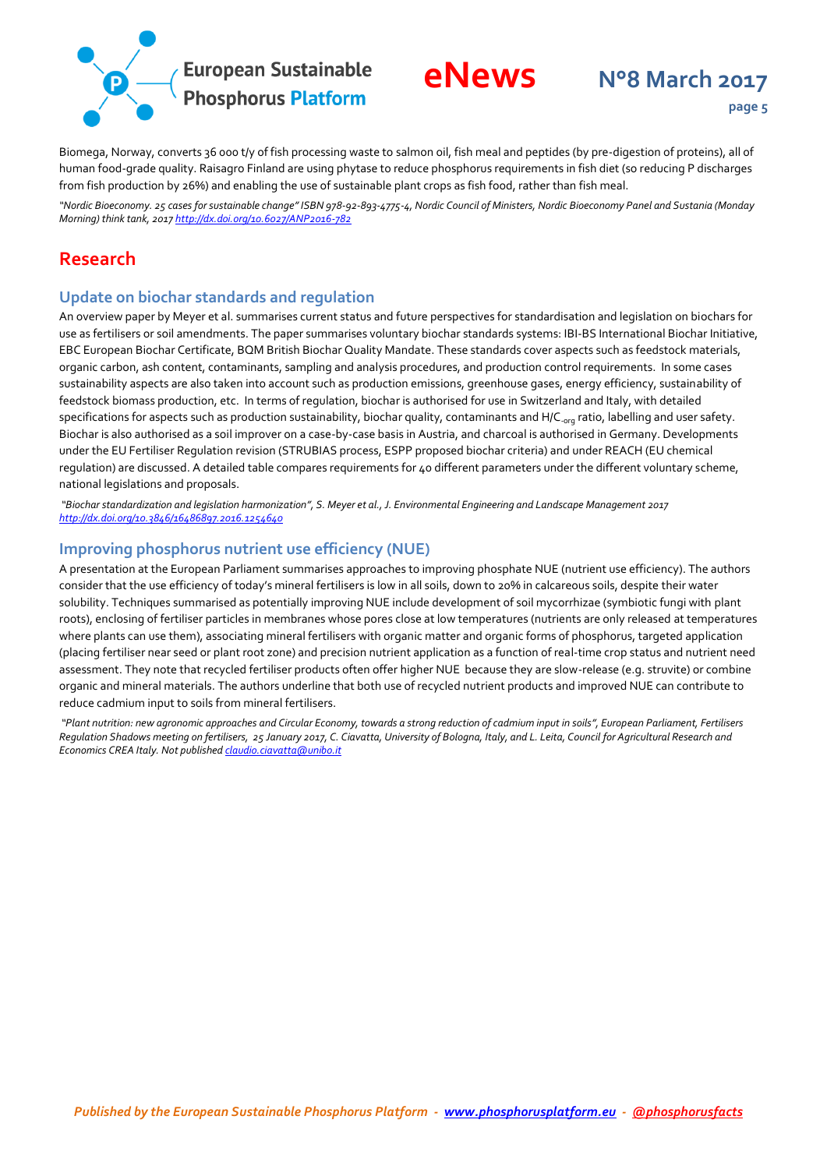



Biomega, Norway, converts 36 000 t/y of fish processing waste to salmon oil, fish meal and peptides (by pre-digestion of proteins), all of human food-grade quality. Raisagro Finland are using phytase to reduce phosphorus requirements in fish diet (so reducing P discharges from fish production by 26%) and enabling the use of sustainable plant crops as fish food, rather than fish meal.

*"Nordic Bioeconomy. 25 cases for sustainable change" ISBN 978-92-893-4775-4, Nordic Council of Ministers, Nordic Bioeconomy Panel and Sustania (Monday Morning) think tank, 201[7 http://dx.doi.org/10.6027/ANP2016-782](http://dx.doi.org/10.6027/ANP2016-782)*

## <span id="page-4-0"></span>**Research**

#### <span id="page-4-1"></span>**Update on biochar standards and regulation**

An overview paper by Meyer et al. summarises current status and future perspectives for standardisation and legislation on biochars for use as fertilisers or soil amendments. The paper summarises voluntary biochar standards systems: IBI-BS International Biochar Initiative, EBC European Biochar Certificate, BQM British Biochar Quality Mandate. These standards cover aspects such as feedstock materials, organic carbon, ash content, contaminants, sampling and analysis procedures, and production control requirements. In some cases sustainability aspects are also taken into account such as production emissions, greenhouse gases, energy efficiency, sustainability of feedstock biomass production, etc. In terms of regulation, biochar is authorised for use in Switzerland and Italy, with detailed specifications for aspects such as production sustainability, biochar quality, contaminants and H/C<sub>-org</sub> ratio, labelling and user safety. Biochar is also authorised as a soil improver on a case-by-case basis in Austria, and charcoal is authorised in Germany. Developments under the EU Fertiliser Regulation revision (STRUBIAS process, ESPP proposed biochar criteria) and under REACH (EU chemical regulation) are discussed. A detailed table compares requirements for  $\mu$ o different parameters under the different voluntary scheme. national legislations and proposals.

*"Biochar standardization and legislation harmonization", S. Meyer et al., J. Environmental Engineering and Landscape Management 2017 <http://dx.doi.org/10.3846/16486897.2016.1254640>*

#### <span id="page-4-2"></span>**Improving phosphorus nutrient use efficiency (NUE)**

A presentation at the European Parliament summarises approaches to improving phosphate NUE (nutrient use efficiency). The authors consider that the use efficiency of today's mineral fertilisers is low in all soils, down to 20% in calcareous soils, despite their water solubility. Techniques summarised as potentially improving NUE include development of soil mycorrhizae (symbiotic fungi with plant roots), enclosing of fertiliser particles in membranes whose pores close at low temperatures (nutrients are only released at temperatures where plants can use them), associating mineral fertilisers with organic matter and organic forms of phosphorus, targeted application (placing fertiliser near seed or plant root zone) and precision nutrient application as a function of real-time crop status and nutrient need assessment. They note that recycled fertiliser products often offer higher NUE because they are slow-release (e.g. struvite) or combine organic and mineral materials. The authors underline that both use of recycled nutrient products and improved NUE can contribute to reduce cadmium input to soils from mineral fertilisers.

*"Plant nutrition: new agronomic approaches and Circular Economy, towards a strong reduction of cadmium input in soils", European Parliament, Fertilisers Regulation Shadows meeting on fertilisers, 25 January 2017, C. Ciavatta, University of Bologna, Italy, and L. Leita, Council for Agricultural Research and Economics CREA Italy. Not publishe[d claudio.ciavatta@unibo.it](mailto:claudio.ciavatta@unibo.it)*